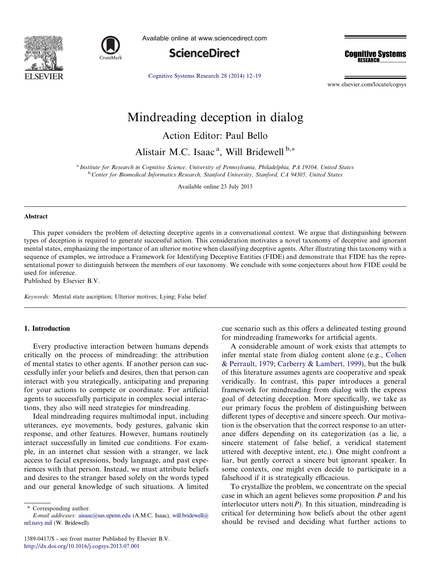



Available online at www.sciencedirect.com





[Cognitive Systems Research 28 \(2014\) 12–19](http://dx.doi.org/10.1016/j.cogsys.2013.07.001)

www.elsevier.com/locate/cogsys

# Mindreading deception in dialog

Action Editor: Paul Bello

Alistair M.C. Isaac<sup>a</sup>, Will Bridewell<sup>b,\*</sup>

<sup>a</sup> Institute for Research in Cognitive Science, University of Pennsylvania, Philadelphia, PA 19104, United States <sup>b</sup> Center for Biomedical Informatics Research, Stanford University, Stanford, CA 94305, United States

Available online 23 July 2013

#### **Abstract**

This paper considers the problem of detecting deceptive agents in a conversational context. We argue that distinguishing between types of deception is required to generate successful action. This consideration motivates a novel taxonomy of deceptive and ignorant mental states, emphasizing the importance of an ulterior motive when classifying deceptive agents. After illustrating this taxonomy with a sequence of examples, we introduce a Framework for Identifying Deceptive Entities (FIDE) and demonstrate that FIDE has the representational power to distinguish between the members of our taxonomy. We conclude with some conjectures about how FIDE could be used for inference.

Published by Elsevier B.V.

Keywords: Mental state ascription; Ulterior motives; Lying; False belief

## 1. Introduction

Every productive interaction between humans depends critically on the process of mindreading: the attribution of mental states to other agents. If another person can successfully infer your beliefs and desires, then that person can interact with you strategically, anticipating and preparing for your actions to compete or coordinate. For artificial agents to successfully participate in complex social interactions, they also will need strategies for mindreading.

Ideal mindreading requires multimodal input, including utterances, eye movements, body gestures, galvanic skin response, and other features. However, humans routinely interact successfully in limited cue conditions. For example, in an internet chat session with a stranger, we lack access to facial expressions, body language, and past experiences with that person. Instead, we must attribute beliefs and desires to the stranger based solely on the words typed and our general knowledge of such situations. A limited

cue scenario such as this offers a delineated testing ground for mindreading frameworks for artificial agents.

A considerable amount of work exists that attempts to infer mental state from dialog content alone (e.g., [Cohen](#page--1-0) [& Perrault, 1979; Carberry & Lambert, 1999\)](#page--1-0), but the bulk of this literature assumes agents are cooperative and speak veridically. In contrast, this paper introduces a general framework for mindreading from dialog with the express goal of detecting deception. More specifically, we take as our primary focus the problem of distinguishing between different types of deceptive and sincere speech. Our motivation is the observation that the correct response to an utterance differs depending on its categorization (as a lie, a sincere statement of false belief, a veridical statement uttered with deceptive intent, etc.). One might confront a liar, but gently correct a sincere but ignorant speaker. In some contexts, one might even decide to participate in a falsehood if it is strategically efficacious.

To crystallize the problem, we concentrate on the special case in which an agent believes some proposition P and his interlocutor utters not( $P$ ). In this situation, mindreading is critical for determining how beliefs about the other agent should be revised and deciding what further actions to

<sup>\*</sup> Corresponding author.

E-mail addresses: [aisaac@sas.upenn.edu](mailto:aisaac@sas.upenn.edu) (A.M.C. Isaac), [will.bridewell@](mailto:will.bridewell@nrl.navy.mil) [nrl.navy.mil](mailto:will.bridewell@nrl.navy.mil) (W. Bridewell).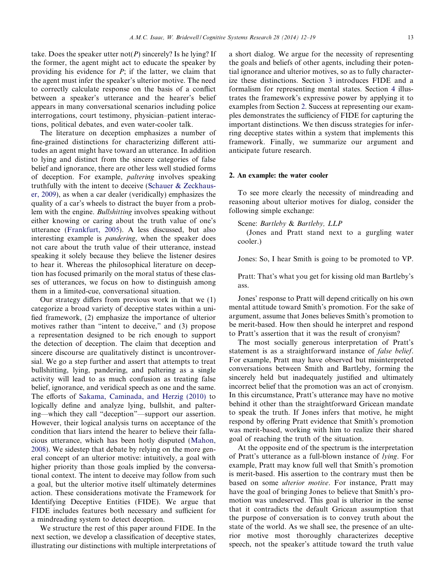take. Does the speaker utter  $not(P)$  sincerely? Is he lying? If the former, the agent might act to educate the speaker by providing his evidence for  $P$ ; if the latter, we claim that the agent must infer the speaker's ulterior motive. The need to correctly calculate response on the basis of a conflict between a speaker's utterance and the hearer's belief appears in many conversational scenarios including police interrogations, court testimony, physician–patient interactions, political debates, and even water-cooler talk.

The literature on deception emphasizes a number of fine-grained distinctions for characterizing different attitudes an agent might have toward an utterance. In addition to lying and distinct from the sincere categories of false belief and ignorance, there are other less well studied forms of deception. For example, paltering involves speaking truthfully with the intent to deceive [\(Schauer & Zeckhaus](#page--1-0)[er, 2009](#page--1-0)), as when a car dealer (veridically) emphasizes the quality of a car's wheels to distract the buyer from a problem with the engine. Bullshitting involves speaking without either knowing or caring about the truth value of one's utterance [\(Frankfurt, 2005](#page--1-0)). A less discussed, but also interesting example is pandering, when the speaker does not care about the truth value of their utterance, instead speaking it solely because they believe the listener desires to hear it. Whereas the philosophical literature on deception has focused primarily on the moral status of these classes of utterances, we focus on how to distinguish among them in a limited-cue, conversational situation.

Our strategy differs from previous work in that we (1) categorize a broad variety of deceptive states within a unified framework, (2) emphasize the importance of ulterior motives rather than "intent to deceive," and (3) propose a representation designed to be rich enough to support the detection of deception. The claim that deception and sincere discourse are qualitatively distinct is uncontroversial. We go a step further and assert that attempts to treat bullshitting, lying, pandering, and paltering as a single activity will lead to as much confusion as treating false belief, ignorance, and veridical speech as one and the same. The efforts of [Sakama, Caminada, and Herzig \(2010\)](#page--1-0) to logically define and analyze lying, bullshit, and paltering—which they call "deception"—support our assertion. However, their logical analysis turns on acceptance of the condition that liars intend the hearer to believe their fallacious utterance, which has been hotly disputed [\(Mahon,](#page--1-0) [2008](#page--1-0)). We sidestep that debate by relying on the more general concept of an ulterior motive: intuitively, a goal with higher priority than those goals implied by the conversational context. The intent to deceive may follow from such a goal, but the ulterior motive itself ultimately determines action. These considerations motivate the Framework for Identifying Deceptive Entities (FIDE). We argue that FIDE includes features both necessary and sufficient for a mindreading system to detect deception.

We structure the rest of this paper around FIDE. In the next section, we develop a classification of deceptive states, illustrating our distinctions with multiple interpretations of a short dialog. We argue for the necessity of representing the goals and beliefs of other agents, including their potential ignorance and ulterior motives, so as to fully characterize these distinctions. Section [3](#page--1-0) introduces FIDE and a formalism for representing mental states. Section [4](#page--1-0) illustrates the framework's expressive power by applying it to examples from Section 2. Success at representing our examples demonstrates the sufficiency of FIDE for capturing the important distinctions. We then discuss strategies for inferring deceptive states within a system that implements this framework. Finally, we summarize our argument and anticipate future research.

#### 2. An example: the water cooler

To see more clearly the necessity of mindreading and reasoning about ulterior motives for dialog, consider the following simple exchange:

### Scene: Bartleby & Bartleby, LLP

(Jones and Pratt stand next to a gurgling water cooler.)

Jones: So, I hear Smith is going to be promoted to VP.

Pratt: That's what you get for kissing old man Bartleby's ass.

Jones' response to Pratt will depend critically on his own mental attitude toward Smith's promotion. For the sake of argument, assume that Jones believes Smith's promotion to be merit-based. How then should he interpret and respond to Pratt's assertion that it was the result of cronyism?

The most socially generous interpretation of Pratt's statement is as a straightforward instance of false belief. For example, Pratt may have observed but misinterpreted conversations between Smith and Bartleby, forming the sincerely held but inadequately justified and ultimately incorrect belief that the promotion was an act of cronyism. In this circumstance, Pratt's utterance may have no motive behind it other than the straightforward Gricean mandate to speak the truth. If Jones infers that motive, he might respond by offering Pratt evidence that Smith's promotion was merit-based, working with him to realize their shared goal of reaching the truth of the situation.

At the opposite end of the spectrum is the interpretation of Pratt's utterance as a full-blown instance of lying. For example, Pratt may know full well that Smith's promotion is merit-based. His assertion to the contrary must then be based on some ulterior motive. For instance, Pratt may have the goal of bringing Jones to believe that Smith's promotion was undeserved. This goal is ulterior in the sense that it contradicts the default Gricean assumption that the purpose of conversation is to convey truth about the state of the world. As we shall see, the presence of an ulterior motive most thoroughly characterizes deceptive speech, not the speaker's attitude toward the truth value